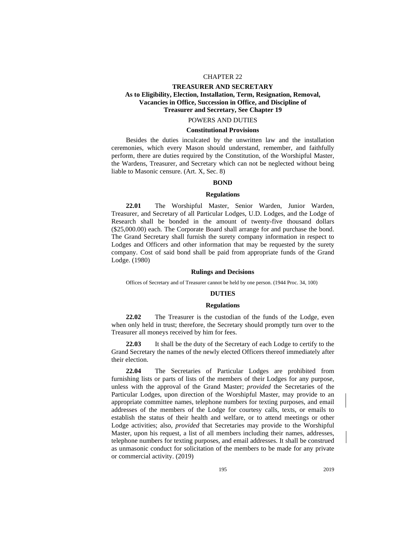## CHAPTER 22

# **TREASURER AND SECRETARY As to Eligibility, Election, Installation, Term, Resignation, Removal, Vacancies in Office, Succession in Office, and Discipline of Treasurer and Secretary, See Chapter 19**

# POWERS AND DUTIES

## **Constitutional Provisions**

Besides the duties inculcated by the unwritten law and the installation ceremonies, which every Mason should understand, remember, and faithfully perform, there are duties required by the Constitution, of the Worshipful Master, the Wardens, Treasurer, and Secretary which can not be neglected without being liable to Masonic censure. (Art. X, Sec. 8)

## **BOND**

## **Regulations**

**22.01** The Worshipful Master, Senior Warden, Junior Warden, Treasurer, and Secretary of all Particular Lodges, U.D. Lodges, and the Lodge of Research shall be bonded in the amount of twenty-five thousand dollars (\$25,000.00) each. The Corporate Board shall arrange for and purchase the bond. The Grand Secretary shall furnish the surety company information in respect to Lodges and Officers and other information that may be requested by the surety company. Cost of said bond shall be paid from appropriate funds of the Grand Lodge. (1980)

### **Rulings and Decisions**

Offices of Secretary and of Treasurer cannot be held by one person. (1944 Proc. 34, 100)

## **DUTIES**

### **Regulations**

**22.02** The Treasurer is the custodian of the funds of the Lodge, even when only held in trust; therefore, the Secretary should promptly turn over to the Treasurer all moneys received by him for fees.

**22.03** It shall be the duty of the Secretary of each Lodge to certify to the Grand Secretary the names of the newly elected Officers thereof immediately after their election.

**22.04** The Secretaries of Particular Lodges are prohibited from furnishing lists or parts of lists of the members of their Lodges for any purpose, unless with the approval of the Grand Master; *provided* the Secretaries of the Particular Lodges, upon direction of the Worshipful Master, may provide to an appropriate committee names, telephone numbers for texting purposes, and email addresses of the members of the Lodge for courtesy calls, texts, or emails to establish the status of their health and welfare, or to attend meetings or other Lodge activities; also, *provided* that Secretaries may provide to the Worshipful Master, upon his request, a list of all members including their names, addresses, telephone numbers for texting purposes, and email addresses. It shall be construed as unmasonic conduct for solicitation of the members to be made for any private or commercial activity. (2019)

195 2019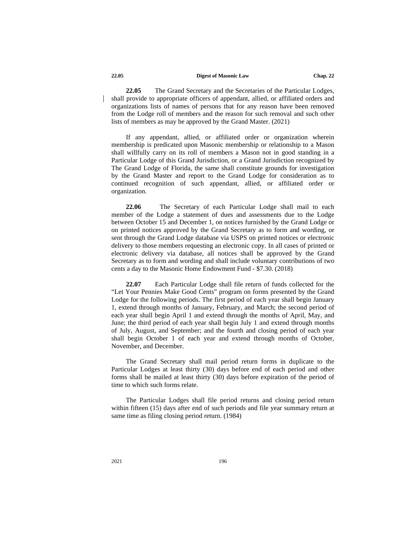### **22.05 Digest of Masonic Law Chap. 22**

**22.05** The Grand Secretary and the Secretaries of the Particular Lodges, shall provide to appropriate officers of appendant, allied, or affiliated orders and organizations lists of names of persons that for any reason have been removed from the Lodge roll of members and the reason for such removal and such other lists of members as may be approved by the Grand Master. (2021)

If any appendant, allied, or affiliated order or organization wherein membership is predicated upon Masonic membership or relationship to a Mason shall willfully carry on its roll of members a Mason not in good standing in a Particular Lodge of this Grand Jurisdiction, or a Grand Jurisdiction recognized by The Grand Lodge of Florida, the same shall constitute grounds for investigation by the Grand Master and report to the Grand Lodge for consideration as to continued recognition of such appendant, allied, or affiliated order or organization.

**22.06** The Secretary of each Particular Lodge shall mail to each member of the Lodge a statement of dues and assessments due to the Lodge between October 15 and December 1, on notices furnished by the Grand Lodge or on printed notices approved by the Grand Secretary as to form and wording, or sent through the Grand Lodge database via USPS on printed notices or electronic delivery to those members requesting an electronic copy. In all cases of printed or electronic delivery via database, all notices shall be approved by the Grand Secretary as to form and wording and shall include voluntary contributions of two cents a day to the Masonic Home Endowment Fund - \$7.30. (2018)

**22.07** Each Particular Lodge shall file return of funds collected for the "Let Your Pennies Make Good Cents" program on forms presented by the Grand Lodge for the following periods. The first period of each year shall begin January 1, extend through months of January, February, and March; the second period of each year shall begin April 1 and extend through the months of April, May, and June; the third period of each year shall begin July 1 and extend through months of July, August, and September; and the fourth and closing period of each year shall begin October 1 of each year and extend through months of October, November, and December.

The Grand Secretary shall mail period return forms in duplicate to the Particular Lodges at least thirty (30) days before end of each period and other forms shall be mailed at least thirty (30) days before expiration of the period of time to which such forms relate.

The Particular Lodges shall file period returns and closing period return within fifteen (15) days after end of such periods and file year summary return at same time as filing closing period return. (1984)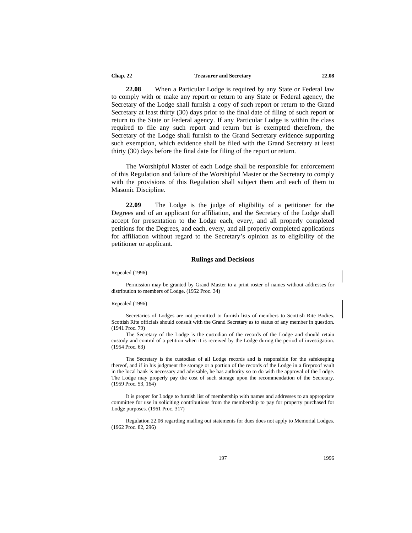### **Chap. 22 Treasurer and Secretary 22.08**

**22.08** When a Particular Lodge is required by any State or Federal law to comply with or make any report or return to any State or Federal agency, the Secretary of the Lodge shall furnish a copy of such report or return to the Grand Secretary at least thirty (30) days prior to the final date of filing of such report or return to the State or Federal agency. If any Particular Lodge is within the class required to file any such report and return but is exempted therefrom, the Secretary of the Lodge shall furnish to the Grand Secretary evidence supporting such exemption, which evidence shall be filed with the Grand Secretary at least thirty (30) days before the final date for filing of the report or return.

The Worshipful Master of each Lodge shall be responsible for enforcement of this Regulation and failure of the Worshipful Master or the Secretary to comply with the provisions of this Regulation shall subject them and each of them to Masonic Discipline.

**22.09** The Lodge is the judge of eligibility of a petitioner for the Degrees and of an applicant for affiliation, and the Secretary of the Lodge shall accept for presentation to the Lodge each, every, and all properly completed petitions for the Degrees, and each, every, and all properly completed applications for affiliation without regard to the Secretary's opinion as to eligibility of the petitioner or applicant.

### **Rulings and Decisions**

### Repealed (1996)

Permission may be granted by Grand Master to a print roster of names without addresses for distribution to members of Lodge. (1952 Proc. 34)

### Repealed (1996)

Secretaries of Lodges are not permitted to furnish lists of members to Scottish Rite Bodies. Scottish Rite officials should consult with the Grand Secretary as to status of any member in question. (1941 Proc. 79)

The Secretary of the Lodge is the custodian of the records of the Lodge and should retain custody and control of a petition when it is received by the Lodge during the period of investigation. (1954 Proc. 63)

The Secretary is the custodian of all Lodge records and is responsible for the safekeeping thereof, and if in his judgment the storage or a portion of the records of the Lodge in a fireproof vault in the local bank is necessary and advisable, he has authority so to do with the approval of the Lodge. The Lodge may properly pay the cost of such storage upon the recommendation of the Secretary. (1959 Proc. 53, 164)

It is proper for Lodge to furnish list of membership with names and addresses to an appropriate committee for use in soliciting contributions from the membership to pay for property purchased for Lodge purposes. (1961 Proc. 317)

Regulation 22.06 regarding mailing out statements for dues does not apply to Memorial Lodges. (1962 Proc. 82, 296)